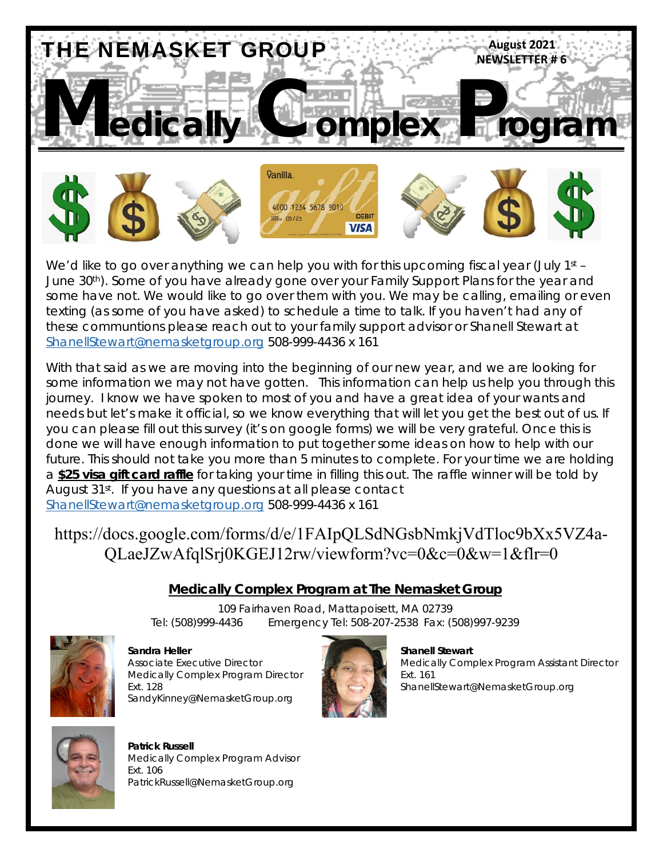

We'd like to go over anything we can help you with for this upcoming fiscal year (July 1st -June 30<sup>th</sup>). Some of you have already gone over your Family Support Plans for the year and some have not. We would like to go over them with you. We may be calling, emailing or even texting (as some of you have asked) to schedule a time to talk. If you haven't had any of these communtions please reach out to your family support advisor or Shanell Stewart at ShanellStewart@nemasketgroup.org 508-999-4436 x 161

With that said as we are moving into the beginning of our new year, and we are looking for some information we may not have gotten. This information can help us help you through this journey. I know we have spoken to most of you and have a great idea of your wants and needs but let's make it official, so we know everything that will let you get the best out of us. If you can please fill out this survey (it's on google forms) we will be very grateful. Once this is done we will have enough information to put together some ideas on how to help with our future. This should not take you more than 5 minutes to complete. For your time we are holding a **\$25 visa gift card raffle** for taking your time in filling this out. The raffle winner will be told by August 31<sup>st</sup>. If you have any questions at all please contact ShanellStewart@nemasketgroup.org 508-999-4436 x 161

#### https://docs.google.com/forms/d/e/1FAIpQLSdNGsbNmkjVdTloc9bXx5VZ4a-QLaeJZwAfqlSrj0KGEJ12rw/viewform?vc=0&c=0&w=1&flr=0

#### **Medically Complex Program at The Nemasket Group**

109 Fairhaven Road, Mattapoisett, MA 02739 Tel: (508)999-4436 Emergency Tel: 508-207-2538 Fax: (508)997-9239



**Sandra Heller Shanell Stewart All Shanell Stewart**  Shanell Stewart Medically Complex Program Director **Ext. 161** Ext. 161 SandyKinney@NemasketGroup.org



Associate Executive Director Medically Complex Program Assistant Director Ext. 128 ShanellStewart@NemasketGroup.org



 **Patrick Russell** Medically Complex Program Advisor Ext. 106 PatrickRussell@NemasketGroup.org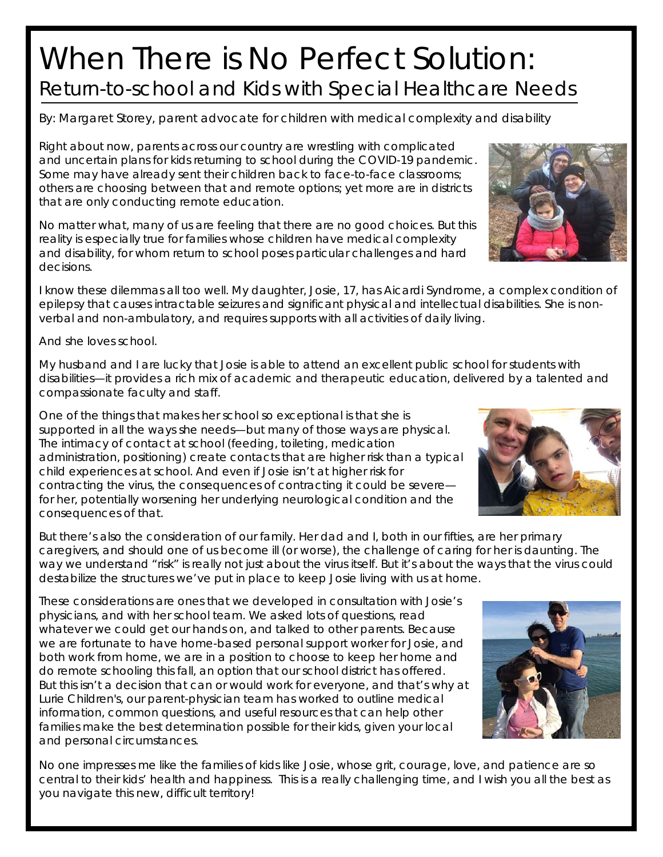## When There is No Perfect Solution: Return-to-school and Kids with Special Healthcare Needs

*By: Margaret Storey, parent advocate for children with medical complexity and disability*

Right about now, parents across our country are wrestling with complicated and uncertain plans for kids returning to school during the COVID-19 pandemic. Some may have already sent their children back to face-to-face classrooms; others are choosing between that and remote options; yet more are in districts that are only conducting remote education.

No matter what, many of us are feeling that there are no good choices. But this reality is especially true for families whose children have medical complexity and disability, for whom return to school poses particular challenges and hard decisions.

I know these dilemmas all too well. My daughter, Josie, 17, has Aicardi Syndrome, a complex condition of epilepsy that causes intractable seizures and significant physical and intellectual disabilities. She is nonverbal and non-ambulatory, and requires supports with all activities of daily living.

And she loves school.

My husband and I are lucky that Josie is able to attend an excellent public school for students with disabilities—it provides a rich mix of academic and therapeutic education, delivered by a talented and compassionate faculty and staff.

One of the things that makes her school so exceptional is that she is supported in *all* the ways she needs—but many of those ways are physical. The intimacy of contact at school (feeding, toileting, medication administration, positioning) create contacts that are higher risk than a typical child experiences at school. And even if Josie isn't at higher risk for contracting the virus, the consequences of contracting it could be severe for her, potentially worsening her underlying neurological condition and the consequences of that.

But there's also the consideration of our family. Her dad and I, both in our fifties, are her primary caregivers, and should one of us become ill (or worse), the challenge of caring for her is daunting. The way we understand "risk" is really not just about the virus itself. But it's about the ways that the virus could destabilize the structures we've put in place to keep Josie living with us at home.

These considerations are ones that we developed in consultation with Josie's physicians, and with her school team. We asked lots of questions, read whatever we could get our hands on, and talked to other parents. Because we are fortunate to have home-based personal support worker for Josie, and both work from home, we are in a position to choose to keep her home and do remote schooling this fall, an option that our school district has offered. But this isn't a decision that can or would work for everyone, and that's why at Lurie Children's, our parent-physician team has worked to outline medical information, common questions, and useful resources that can help other families make the best determination possible for their kids, given your local and personal circumstances.

No one impresses me like the families of kids like Josie, whose grit, courage, love, and patience are so central to their kids' health and happiness. This is a really challenging time, and I wish you all the best as you navigate this new, difficult territory!





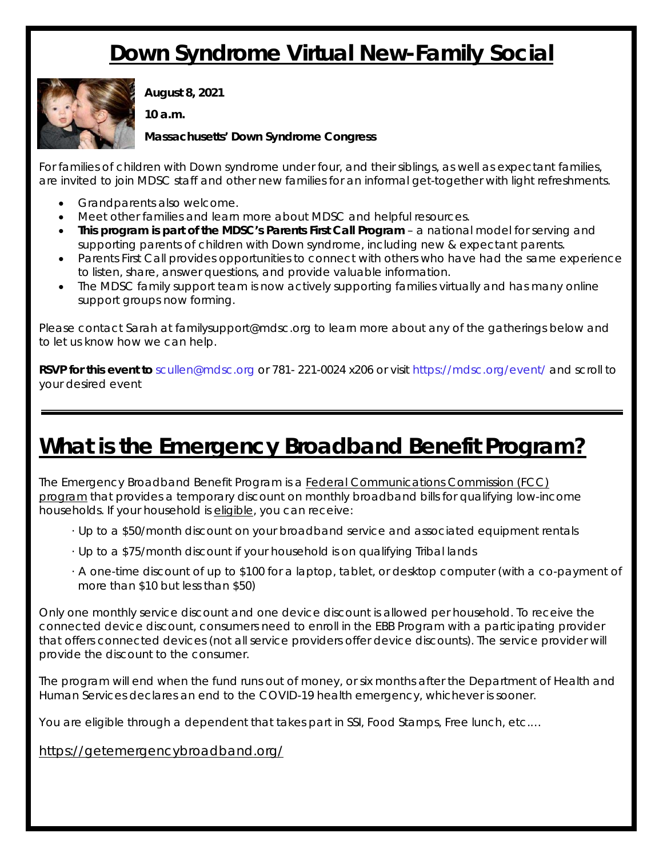### **Down Syndrome Virtual New-Family Social**



**August 8, 2021** 

**10 a.m.** 

#### **Massachusetts' Down Syndrome Congress**

For families of children with Down syndrome under four, and their siblings, as well as expectant families, are invited to join MDSC staff and other new families for an informal get-together with light refreshments.

- Grandparents also welcome.
- Meet other families and learn more about MDSC and helpful resources.
- **This program is part of the MDSC's Parents First Call Program** a national model for serving and supporting parents of children with Down syndrome, including new & expectant parents.
- Parents First Call provides opportunities to connect with others who have had the same experience to listen, share, answer questions, and provide valuable information.
- The MDSC family support team is now actively supporting families virtually and has many online support groups now forming.

Please contact Sarah at familysupport@mdsc.org to learn more about any of the gatherings below and to let us know how we can help.

**RSVP for this event to** scullen@mdsc.org or 781- 221-0024 x206 or visit https://mdsc.org/event/ and scroll to your desired event

### **What is the Emergency Broadband Benefit Program?**

The Emergency Broadband Benefit Program is a Federal Communications Commission (FCC) program that provides a temporary discount on monthly broadband bills for qualifying low-income households. If your household is eligible, you can receive:

- · Up to a \$50/month discount on your broadband service and associated equipment rentals
- · Up to a \$75/month discount if your household is on qualifying Tribal lands
- · A one-time discount of up to \$100 for a laptop, tablet, or desktop computer (with a co-payment of more than \$10 but less than \$50)

Only one monthly service discount and one device discount is allowed per household. To receive the connected device discount, consumers need to enroll in the EBB Program with a participating provider that offers connected devices (not all service providers offer device discounts). The service provider will provide the discount to the consumer.

The program will end when the fund runs out of money, or six months after the Department of Health and Human Services declares an end to the COVID-19 health emergency, whichever is sooner.

You are eligible through a dependent that takes part in SSI, Food Stamps, Free lunch, etc.…

https://getemergencybroadband.org/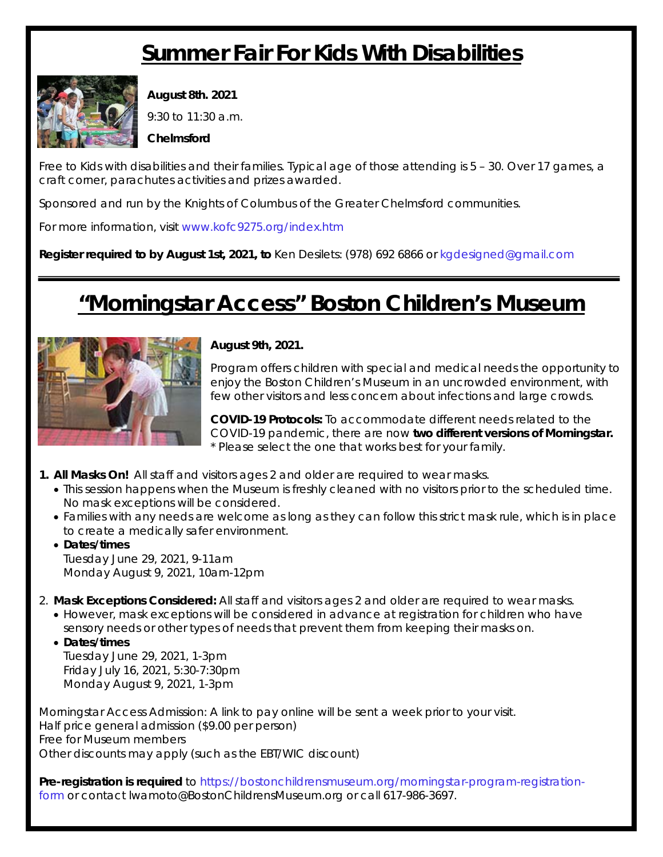#### **Summer Fair For Kids With Disabilities**



**August 8th. 2021**

9:30 to 11:30 a.m.

**Chelmsford** 

Free to Kids with disabilities and their families. Typical age of those attending is 5 – 30. Over 17 games, a craft corner, parachutes activities and prizes awarded.

Sponsored and run by the Knights of Columbus of the Greater Chelmsford communities.

For more information, visit www.kofc9275.org/index.htm

**Register required to by August 1st, 2021, to** Ken Desilets: (978) 692 6866 or kgdesigned@gmail.com

### **"Morningstar Access" Boston Children's Museum**



**August 9th, 2021.** 

Program offers children with special and medical needs the opportunity to enjoy the Boston Children's Museum in an uncrowded environment, with few other visitors and less concern about infections and large crowds.

**COVID-19 Protocols:** To accommodate different needs related to the COVID-19 pandemic, there are now **two different versions of Morningstar.** \* Please select the one that works best for your family.

- **1. All Masks On!** All staff and visitors ages 2 and older are required to wear masks.
	- This session happens when the Museum is freshly cleaned with no visitors prior to the scheduled time. No mask exceptions will be considered.
	- Families with any needs are welcome as long as they can follow this strict mask rule, which is in place to create a medically safer environment.
	- **Dates/times**  Tuesday June 29, 2021, 9-11am Monday August 9, 2021, 10am-12pm
- 2. **Mask Exceptions Considered:** All staff and visitors ages 2 and older are required to wear masks.
	- However, mask exceptions will be considered in advance at registration for children who have sensory needs or other types of needs that prevent them from keeping their masks on.
	- **Dates/times** Tuesday June 29, 2021, 1-3pm Friday July 16, 2021, 5:30-7:30pm Monday August 9, 2021, 1-3pm

Morningstar Access Admission: A link to pay online will be sent a week prior to your visit. Half price general admission (\$9.00 per person) Free for Museum members Other discounts may apply (such as the EBT/WIC discount)

*Pre-registration is required* to https://bostonchildrensmuseum.org/morningstar-program-registrationform or contact lwamoto@BostonChildrensMuseum.org or call 617-986-3697.